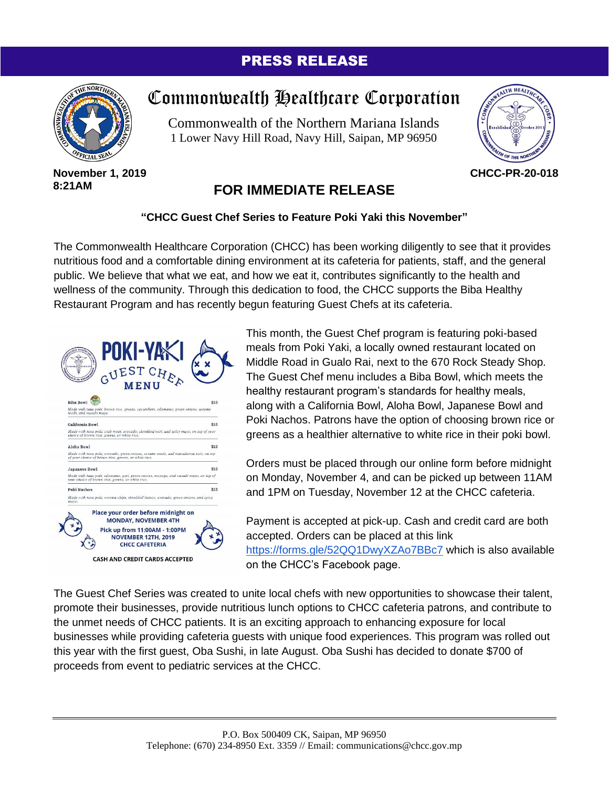## PRESS RELEASE



#### **November 1, 2019 8:21AM**

# Commonwealth Healthcare Corporation

Commonwealth of the Northern Mariana Islands 1 Lower Navy Hill Road, Navy Hill, Saipan, MP 96950



**CHCC-PR-20-018**

## **FOR IMMEDIATE RELEASE**

### **"CHCC Guest Chef Series to Feature Poki Yaki this November"**

The Commonwealth Healthcare Corporation (CHCC) has been working diligently to see that it provides nutritious food and a comfortable dining environment at its cafeteria for patients, staff, and the general public. We believe that what we eat, and how we eat it, contributes significantly to the health and wellness of the community. Through this dedication to food, the CHCC supports the Biba Healthy Restaurant Program and has recently begun featuring Guest Chefs at its cafeteria.

| POKI-YA<br>m<br>CUEST CHR<br>MENI                                                                                                            |      |
|----------------------------------------------------------------------------------------------------------------------------------------------|------|
| <b>Biba Bowl</b>                                                                                                                             | \$10 |
| Made with tuna poki, brown rice, greens, cucumbers, edamame, green onions, sesame<br>seeds, and wasabi mayo.                                 |      |
| California Bowl                                                                                                                              | \$10 |
| Made with tuna poki, crab meat, avocado, shredded nori, and spicy mayo, on top of your<br>choice of brown rice, greens, or white rice.       |      |
| Aloha Rowl                                                                                                                                   | \$10 |
| Made with tuna poki, avocado, ereen onions, sesame seeds, and macadamia nuts, on top<br>of your choice of brown rice, greens, or white rice, |      |
| <b>Japanese Bowl</b>                                                                                                                         | \$10 |
| Made with tuna poki, edamame, gari, green onions, masago, and wasabi mayo, on top of<br>your choice of brown rice, greens, or white rice.    |      |
| Poki Nachos                                                                                                                                  | \$10 |
| Made with tuna poki, wonton chips, shredded lettuce, avocado, green onions, and spicy<br>mayo.                                               |      |
| Place your order before midnight on<br><b>MONDAY, NOVEMBER 4TH</b>                                                                           |      |
| Pick up from 11:00AM - 1:00PM<br><b>NOVEMBER 12TH, 2019</b><br><b>CHCC CAFETERIA</b>                                                         |      |
| <b>CASH AND CREDIT CARDS ACCEPTED</b>                                                                                                        |      |

This month, the Guest Chef program is featuring poki-based meals from Poki Yaki, a locally owned restaurant located on Middle Road in Gualo Rai, next to the 670 Rock Steady Shop. The Guest Chef menu includes a Biba Bowl, which meets the healthy restaurant program's standards for healthy meals, along with a California Bowl, Aloha Bowl, Japanese Bowl and Poki Nachos. Patrons have the option of choosing brown rice or greens as a healthier alternative to white rice in their poki bowl.

Orders must be placed through our online form before midnight on Monday, November 4, and can be picked up between 11AM and 1PM on Tuesday, November 12 at the CHCC cafeteria.

Payment is accepted at pick-up. Cash and credit card are both accepted. Orders can be placed at this link <https://forms.gle/52QQ1DwyXZAo7BBc7> which is also available on the CHCC's Facebook page.

The Guest Chef Series was created to unite local chefs with new opportunities to showcase their talent, promote their businesses, provide nutritious lunch options to CHCC cafeteria patrons, and contribute to the unmet needs of CHCC patients. It is an exciting approach to enhancing exposure for local businesses while providing cafeteria guests with unique food experiences. This program was rolled out this year with the first guest, Oba Sushi, in late August. Oba Sushi has decided to donate \$700 of proceeds from event to pediatric services at the CHCC.